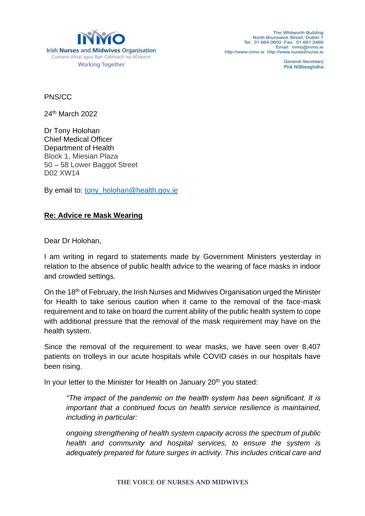

The Whitworth Building North Brunswick Street, Dublin Tel: 01 664 0600 Fax: 01 661 0466 Email: inmo@inmo je http://www.inmo.ie\_http://www.nurse2nurse.ie

> **General Secretary Phil NiSheaghdha**

PNS/CC

24th March 2022

Dr Tony Holohan Chief Medical Officer Department of Health Block 1, Miesian Plaza 50 – 58 Lower Baggot Street D02 XW14

By email to: [tony\\_holohan@health.gov.ie](mailto:tony_holohan@health.gov.ie)

## **Re: Advice re Mask Wearing**

Dear Dr Holohan,

I am writing in regard to statements made by Government Ministers yesterday in relation to the absence of public health advice to the wearing of face masks in indoor and crowded settings.

On the 18th of February, the Irish Nurses and Midwives Organisation urged the Minister for Health to take serious caution when it came to the removal of the face-mask requirement and to take on board the current ability of the public health system to cope with additional pressure that the removal of the mask requirement may have on the health system.

Since the removal of the requirement to wear masks, we have seen over 8,407 patients on trolleys in our acute hospitals while COVID cases in our hospitals have been rising.

In your letter to the Minister for Health on January 20<sup>th</sup> you stated:

*"The impact of the pandemic on the health system has been significant. It is important that a continued focus on health service resilience is maintained, including in particular:*

*ongoing strengthening of health system capacity across the spectrum of public health and community and hospital services, to ensure the system is adequately prepared for future surges in activity. This includes critical care and*